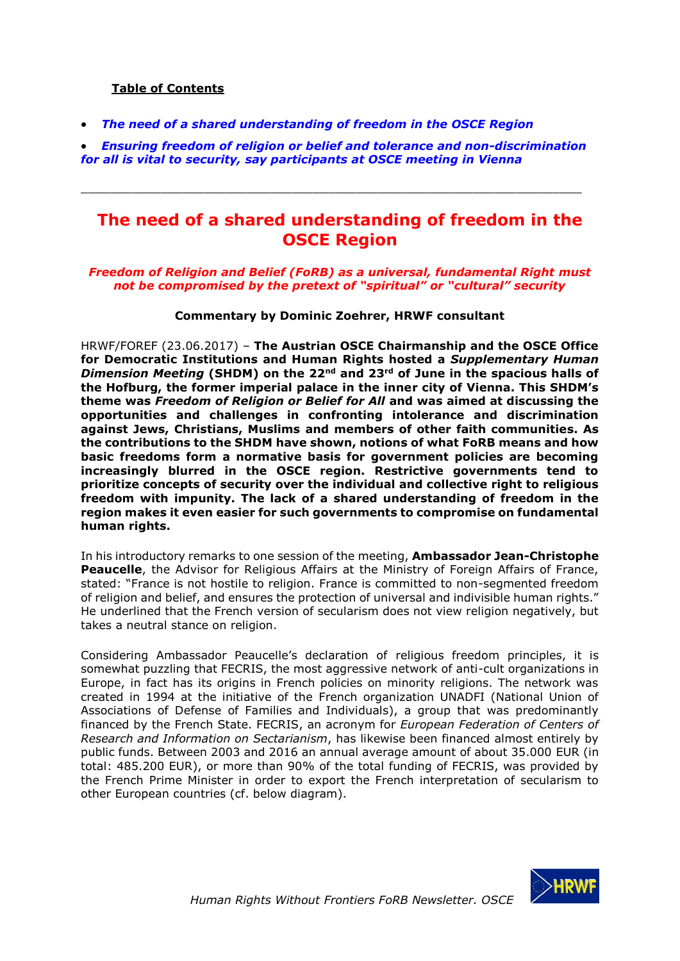### **Table of Contents**

• *[The need of a shared understanding of freedom in the OSCE Region](#page-0-0)*

• *[Ensuring freedom of religion or belief and tolerance and non-discrimination](#page-4-0)  [for all is vital to security, say participants at OSCE meeting in Vienna](#page-4-0)*

<span id="page-0-0"></span> $\_$  , and the set of the set of the set of the set of the set of the set of the set of the set of the set of the set of the set of the set of the set of the set of the set of the set of the set of the set of the set of th

## **The need of a shared understanding of freedom in the OSCE Region**

#### *Freedom of Religion and Belief (FoRB) as a universal, fundamental Right must not be compromised by the pretext of "spiritual" or "cultural" security*

#### **Commentary by Dominic Zoehrer, HRWF consultant**

HRWF/FOREF (23.06.2017) – **The Austrian OSCE Chairmanship and the OSCE Office for Democratic Institutions and Human Rights hosted a** *Supplementary Human Dimension Meeting* **(SHDM) on the 22nd and 23rd of June in the spacious halls of the Hofburg, the former imperial palace in the inner city of Vienna. This SHDM's theme was** *Freedom of Religion or Belief for All* **and was aimed at discussing the opportunities and challenges in confronting intolerance and discrimination against Jews, Christians, Muslims and members of other faith communities. As the contributions to the SHDM have shown, notions of what FoRB means and how basic freedoms form a normative basis for government policies are becoming increasingly blurred in the OSCE region. Restrictive governments tend to prioritize concepts of security over the individual and collective right to religious freedom with impunity. The lack of a shared understanding of freedom in the region makes it even easier for such governments to compromise on fundamental human rights.**

In his introductory remarks to one session of the meeting, **Ambassador Jean-Christophe Peaucelle**, the Advisor for Religious Affairs at the Ministry of Foreign Affairs of France, stated: "France is not hostile to religion. France is committed to non-segmented freedom of religion and belief, and ensures the protection of universal and indivisible human rights." He underlined that the French version of secularism does not view religion negatively, but takes a neutral stance on religion.

Considering Ambassador Peaucelle's declaration of religious freedom principles, it is somewhat puzzling that FECRIS, the most aggressive network of anti-cult organizations in Europe, in fact has its origins in French policies on minority religions. The network was created in 1994 at the initiative of the French organization UNADFI (National Union of Associations of Defense of Families and Individuals), a group that was predominantly financed by the French State. FECRIS, an acronym for *European Federation of Centers of Research and Information on Sectarianism*, has likewise been financed almost entirely by public funds. Between 2003 and 2016 an annual average amount of about 35.000 EUR (in total: 485.200 EUR), or more than 90% of the total funding of FECRIS, was provided by the French Prime Minister in order to export the French interpretation of secularism to other European countries (cf. below diagram).

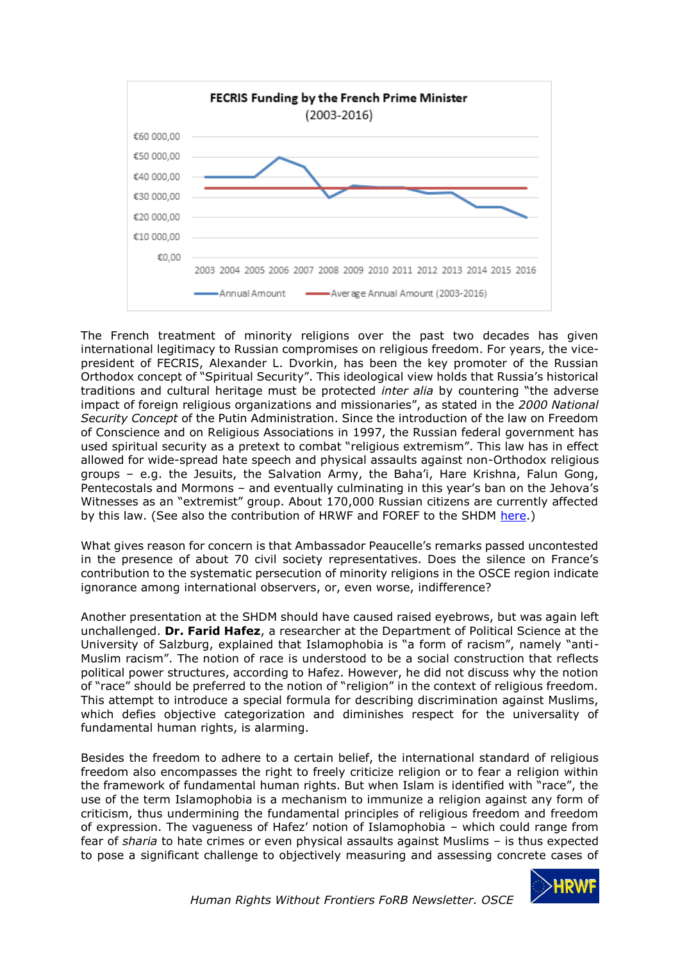

The French treatment of minority religions over the past two decades has given international legitimacy to Russian compromises on religious freedom. For years, the vicepresident of FECRIS, Alexander L. Dvorkin, has been the key promoter of the Russian Orthodox concept of "Spiritual Security". This ideological view holds that Russia's historical traditions and cultural heritage must be protected *inter alia* by countering "the adverse impact of foreign religious organizations and missionaries", as stated in the *2000 National Security Concept* of the Putin Administration. Since the introduction of the law on Freedom of Conscience and on Religious Associations in 1997, the Russian federal government has used spiritual security as a pretext to combat "religious extremism". This law has in effect allowed for wide-spread hate speech and physical assaults against non-Orthodox religious groups – e.g. the Jesuits, the Salvation Army, the Baha'i, Hare Krishna, Falun Gong, Pentecostals and Mormons – and eventually culminating in this year's ban on the Jehova's Witnesses as an "extremist" group. About 170,000 Russian citizens are currently affected by this law. (See also the contribution of HRWF and FOREF to the SHDM [here.](http://www.osce.org/odihr/325231?download=true))

What gives reason for concern is that Ambassador Peaucelle's remarks passed uncontested in the presence of about 70 civil society representatives. Does the silence on France's contribution to the systematic persecution of minority religions in the OSCE region indicate ignorance among international observers, or, even worse, indifference?

Another presentation at the SHDM should have caused raised eyebrows, but was again left unchallenged. **Dr. Farid Hafez**, a researcher at the Department of Political Science at the University of Salzburg, explained that Islamophobia is "a form of racism", namely "anti-Muslim racism". The notion of race is understood to be a social construction that reflects political power structures, according to Hafez. However, he did not discuss why the notion of "race" should be preferred to the notion of "religion" in the context of religious freedom. This attempt to introduce a special formula for describing discrimination against Muslims, which defies objective categorization and diminishes respect for the universality of fundamental human rights, is alarming.

Besides the freedom to adhere to a certain belief, the international standard of religious freedom also encompasses the right to freely criticize religion or to fear a religion within the framework of fundamental human rights. But when Islam is identified with "race", the use of the term Islamophobia is a mechanism to immunize a religion against any form of criticism, thus undermining the fundamental principles of religious freedom and freedom of expression. The vagueness of Hafez' notion of Islamophobia – which could range from fear of *sharia* to hate crimes or even physical assaults against Muslims – is thus expected to pose a significant challenge to objectively measuring and assessing concrete cases of

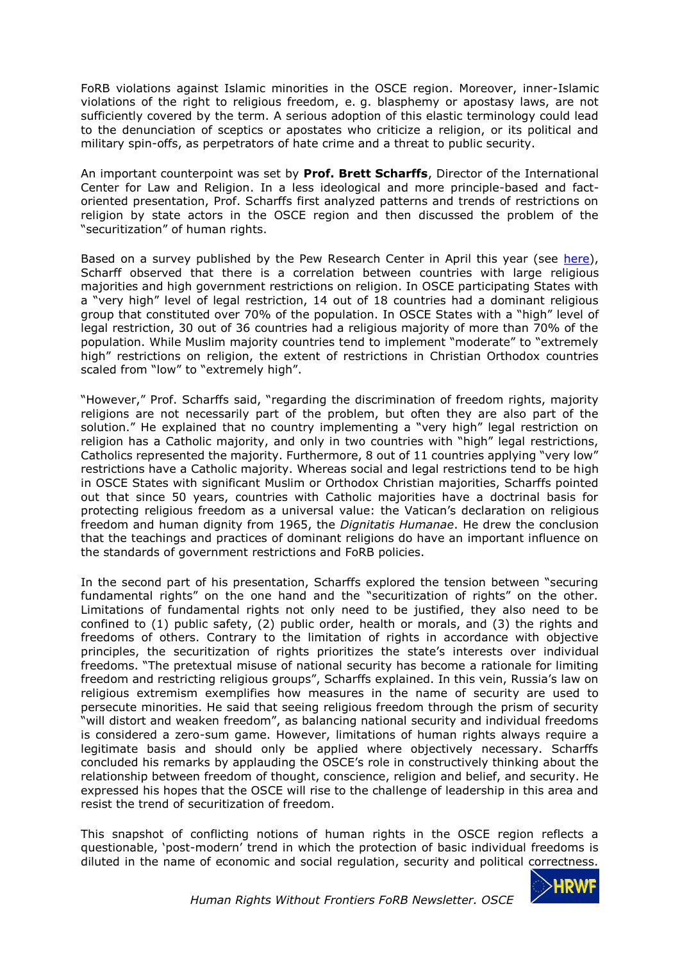FoRB violations against Islamic minorities in the OSCE region. Moreover, inner-Islamic violations of the right to religious freedom, e. g. blasphemy or apostasy laws, are not sufficiently covered by the term. A serious adoption of this elastic terminology could lead to the denunciation of sceptics or apostates who criticize a religion, or its political and military spin-offs, as perpetrators of hate crime and a threat to public security.

An important counterpoint was set by **Prof. Brett Scharffs**, Director of the International Center for Law and Religion. In a less ideological and more principle-based and factoriented presentation, Prof. Scharffs first analyzed patterns and trends of restrictions on religion by state actors in the OSCE region and then discussed the problem of the "securitization" of human rights.

Based on a survey published by the Pew Research Center in April this year (see [here\)](http://www.pewforum.org/2017/04/11/global-restrictions-on-religion-rise-modestly-in-2015-reversing-downward-trend/), Scharff observed that there is a correlation between countries with large religious majorities and high government restrictions on religion. In OSCE participating States with a "very high" level of legal restriction, 14 out of 18 countries had a dominant religious group that constituted over 70% of the population. In OSCE States with a "high" level of legal restriction, 30 out of 36 countries had a religious majority of more than 70% of the population. While Muslim majority countries tend to implement "moderate" to "extremely high" restrictions on religion, the extent of restrictions in Christian Orthodox countries scaled from "low" to "extremely high".

"However," Prof. Scharffs said, "regarding the discrimination of freedom rights, majority religions are not necessarily part of the problem, but often they are also part of the solution." He explained that no country implementing a "very high" legal restriction on religion has a Catholic majority, and only in two countries with "high" legal restrictions, Catholics represented the majority. Furthermore, 8 out of 11 countries applying "very low" restrictions have a Catholic majority. Whereas social and legal restrictions tend to be high in OSCE States with significant Muslim or Orthodox Christian majorities, Scharffs pointed out that since 50 years, countries with Catholic majorities have a doctrinal basis for protecting religious freedom as a universal value: the Vatican's declaration on religious freedom and human dignity from 1965, the *Dignitatis Humanae*. He drew the conclusion that the teachings and practices of dominant religions do have an important influence on the standards of government restrictions and FoRB policies.

In the second part of his presentation, Scharffs explored the tension between "securing fundamental rights" on the one hand and the "securitization of rights" on the other. Limitations of fundamental rights not only need to be justified, they also need to be confined to (1) public safety, (2) public order, health or morals, and (3) the rights and freedoms of others. Contrary to the limitation of rights in accordance with objective principles, the securitization of rights prioritizes the state's interests over individual freedoms. "The pretextual misuse of national security has become a rationale for limiting freedom and restricting religious groups", Scharffs explained. In this vein, Russia's law on religious extremism exemplifies how measures in the name of security are used to persecute minorities. He said that seeing religious freedom through the prism of security "will distort and weaken freedom", as balancing national security and individual freedoms is considered a zero-sum game. However, limitations of human rights always require a legitimate basis and should only be applied where objectively necessary. Scharffs concluded his remarks by applauding the OSCE's role in constructively thinking about the relationship between freedom of thought, conscience, religion and belief, and security. He expressed his hopes that the OSCE will rise to the challenge of leadership in this area and resist the trend of securitization of freedom.

This snapshot of conflicting notions of human rights in the OSCE region reflects a questionable, 'post-modern' trend in which the protection of basic individual freedoms is diluted in the name of economic and social regulation, security and political correctness.

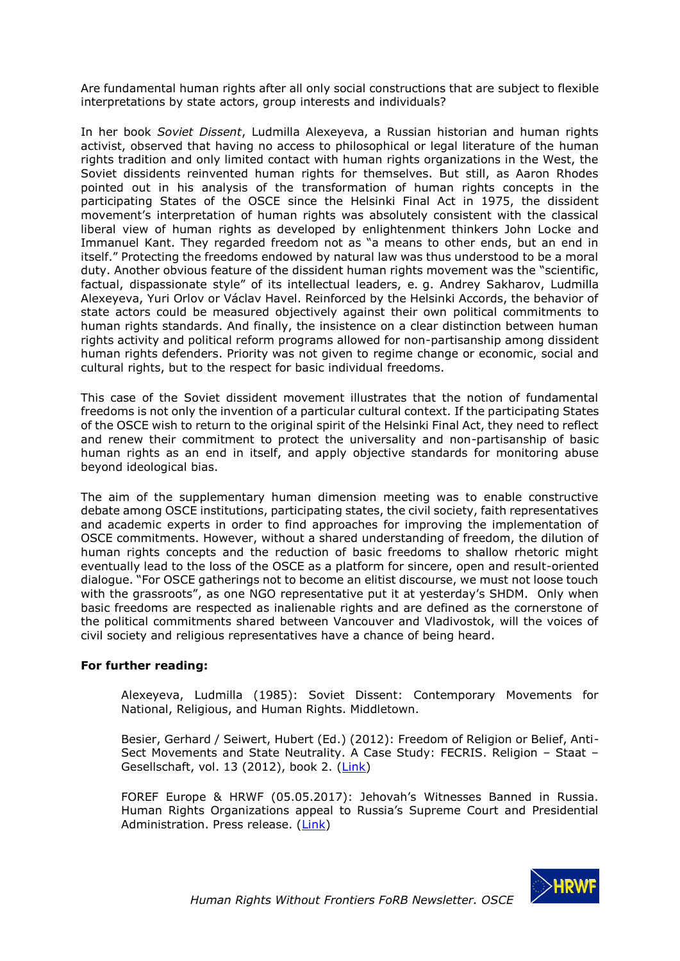Are fundamental human rights after all only social constructions that are subject to flexible interpretations by state actors, group interests and individuals?

In her book *Soviet Dissent*, Ludmilla Alexeyeva, a Russian historian and human rights activist, observed that having no access to philosophical or legal literature of the human rights tradition and only limited contact with human rights organizations in the West, the Soviet dissidents reinvented human rights for themselves. But still, as Aaron Rhodes pointed out in his analysis of the transformation of human rights concepts in the participating States of the OSCE since the Helsinki Final Act in 1975, the dissident movement's interpretation of human rights was absolutely consistent with the classical liberal view of human rights as developed by enlightenment thinkers John Locke and Immanuel Kant. They regarded freedom not as "a means to other ends, but an end in itself." Protecting the freedoms endowed by natural law was thus understood to be a moral duty. Another obvious feature of the dissident human rights movement was the "scientific, factual, dispassionate style" of its intellectual leaders, e. g. Andrey Sakharov, Ludmilla Alexeyeva, Yuri Orlov or Václav Havel. Reinforced by the Helsinki Accords, the behavior of state actors could be measured objectively against their own political commitments to human rights standards. And finally, the insistence on a clear distinction between human rights activity and political reform programs allowed for non-partisanship among dissident human rights defenders. Priority was not given to regime change or economic, social and cultural rights, but to the respect for basic individual freedoms.

This case of the Soviet dissident movement illustrates that the notion of fundamental freedoms is not only the invention of a particular cultural context. If the participating States of the OSCE wish to return to the original spirit of the Helsinki Final Act, they need to reflect and renew their commitment to protect the universality and non-partisanship of basic human rights as an end in itself, and apply objective standards for monitoring abuse beyond ideological bias.

The aim of the supplementary human dimension meeting was to enable constructive debate among OSCE institutions, participating states, the civil society, faith representatives and academic experts in order to find approaches for improving the implementation of OSCE commitments. However, without a shared understanding of freedom, the dilution of human rights concepts and the reduction of basic freedoms to shallow rhetoric might eventually lead to the loss of the OSCE as a platform for sincere, open and result-oriented dialogue. "For OSCE gatherings not to become an elitist discourse, we must not loose touch with the grassroots", as one NGO representative put it at yesterday's SHDM. Only when basic freedoms are respected as inalienable rights and are defined as the cornerstone of the political commitments shared between Vancouver and Vladivostok, will the voices of civil society and religious representatives have a chance of being heard.

#### **For further reading:**

Alexeyeva, Ludmilla (1985): Soviet Dissent: Contemporary Movements for National, Religious, and Human Rights. Middletown.

Besier, Gerhard / Seiwert, Hubert (Ed.) (2012): Freedom of Religion or Belief, Anti-Sect Movements and State Neutrality. A Case Study: FECRIS. Religion – Staat – Gesellschaft, vol. 13 (2012), book 2. [\(Link\)](http://www.hrwf.net/images/reports/2012/2012fecrisbook.pdf)

FOREF Europe & HRWF (05.05.2017): Jehovah's Witnesses Banned in Russia. Human Rights Organizations appeal to Russia's Supreme Court and Presidential Administration. Press release. [\(Link\)](https://foref-europe.org/2017/05/05/jehovahs-witnesses-banned-in-russia/)

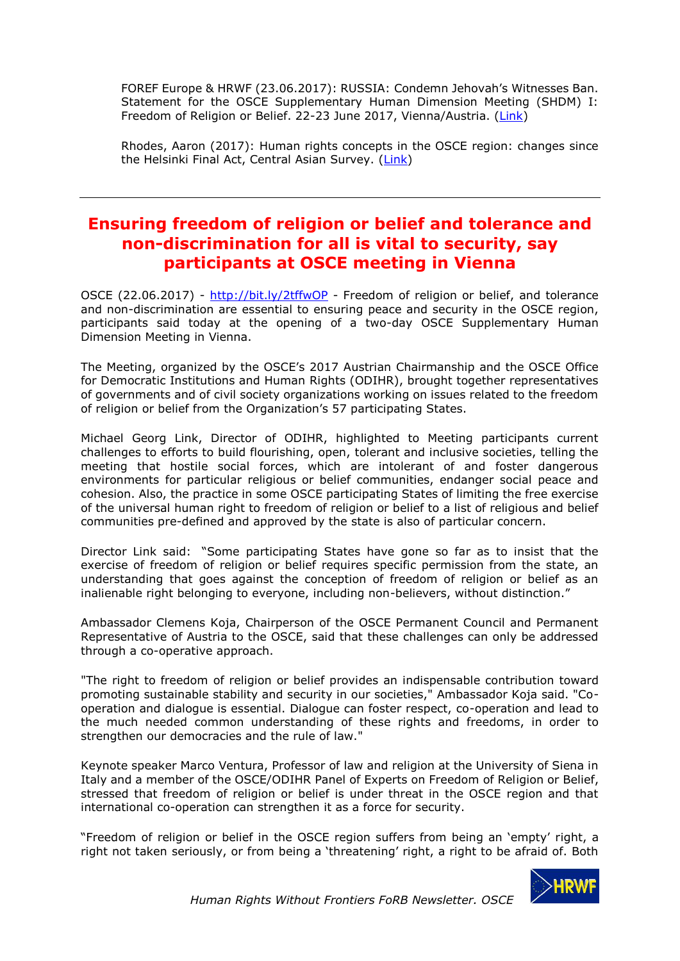FOREF Europe & HRWF (23.06.2017): RUSSIA: Condemn Jehovah's Witnesses Ban. Statement for the OSCE Supplementary Human Dimension Meeting (SHDM) I: Freedom of Religion or Belief. 22-23 June 2017, Vienna/Austria. [\(Link\)](http://www.osce.org/odihr/325231?download=true)

Rhodes, Aaron (2017): Human rights concepts in the OSCE region: changes since the Helsinki Final Act, Central Asian Survey. [\(Link\)](http://dx.doi.org/10.1080/02634937.2017.1281790)

# <span id="page-4-0"></span>**Ensuring freedom of religion or belief and tolerance and non-discrimination for all is vital to security, say participants at OSCE meeting in Vienna**

OSCE (22.06.2017) - <http://bit.ly/2tffwOP> - Freedom of religion or belief, and tolerance and non-discrimination are essential to ensuring peace and security in the OSCE region, participants said today at the opening of a two-day OSCE Supplementary Human Dimension Meeting in Vienna.

The Meeting, organized by the OSCE's 2017 Austrian Chairmanship and the OSCE Office for Democratic Institutions and Human Rights (ODIHR), brought together representatives of governments and of civil society organizations working on issues related to the freedom of religion or belief from the Organization's 57 participating States.

Michael Georg Link, Director of ODIHR, highlighted to Meeting participants current challenges to efforts to build flourishing, open, tolerant and inclusive societies, telling the meeting that hostile social forces, which are intolerant of and foster dangerous environments for particular religious or belief communities, endanger social peace and cohesion. Also, the practice in some OSCE participating States of limiting the free exercise of the universal human right to freedom of religion or belief to a list of religious and belief communities pre-defined and approved by the state is also of particular concern.

Director Link said: "Some participating States have gone so far as to insist that the exercise of freedom of religion or belief requires specific permission from the state, an understanding that goes against the conception of freedom of religion or belief as an inalienable right belonging to everyone, including non-believers, without distinction."

Ambassador Clemens Koja, Chairperson of the OSCE Permanent Council and Permanent Representative of Austria to the OSCE, said that these challenges can only be addressed through a co-operative approach.

"The right to freedom of religion or belief provides an indispensable contribution toward promoting sustainable stability and security in our societies," Ambassador Koja said. "Cooperation and dialogue is essential. Dialogue can foster respect, co-operation and lead to the much needed common understanding of these rights and freedoms, in order to strengthen our democracies and the rule of law."

Keynote speaker Marco Ventura, Professor of law and religion at the University of Siena in Italy and a member of the OSCE/ODIHR Panel of Experts on Freedom of Religion or Belief, stressed that freedom of religion or belief is under threat in the OSCE region and that international co-operation can strengthen it as a force for security.

"Freedom of religion or belief in the OSCE region suffers from being an 'empty' right, a right not taken seriously, or from being a 'threatening' right, a right to be afraid of. Both